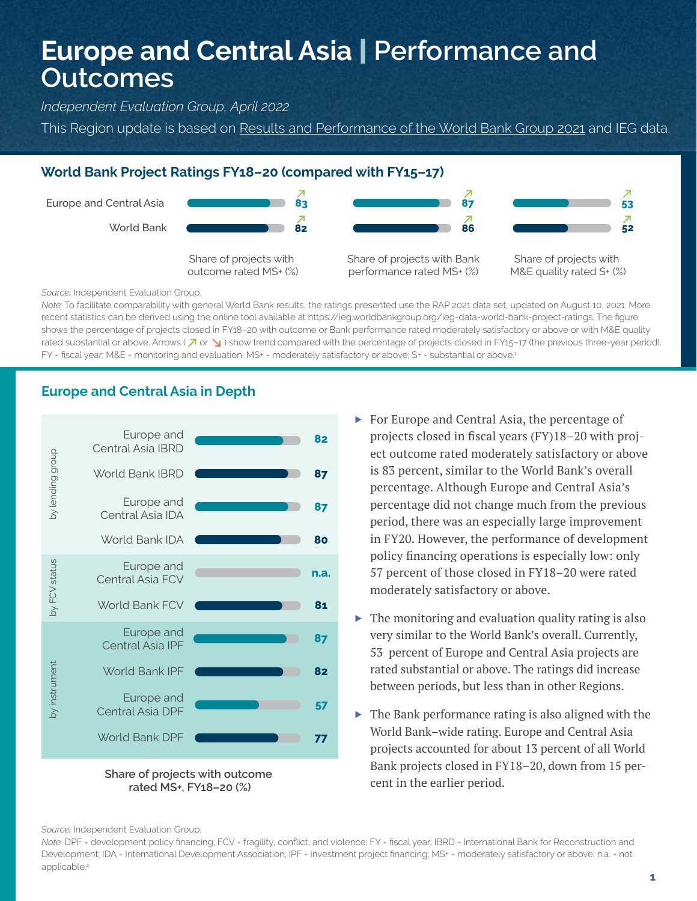# **Europe and Central Asia** | **Performance and Outcomes**

*Independent Evaluation Group, April 2022*

This Region update is based on [Results and Performance of the World Bank Group 2021](https://ieg.worldbankgroup.org/evaluations/results-and-performance-world-bank-group-2021) and IEG data.

### **World Bank Project Ratings FY18–20 (compared with FY15–17)**



*Source:* Independent Evaluation Group.

*Note:* To facilitate comparability with general World Bank results, the ratings presented use the RAP 2021 data set, updated on August 10, 2021. More recent statistics can be derived using the online tool available at https://ieg.worldbankgroup.org/ieg-data-world-bank-project-ratings. The figure shows the percentage of projects closed in FY18–20 with outcome or Bank performance rated moderately satisfactory or above or with M&E quality rated substantial or above. Arrows ( $\overline{A}$  or  $\overline{B}$ ) show trend compared with the percentage of projects closed in FY15–17 (the previous three-year period). FY = fiscal year; M&E = monitoring and evaluation; MS+ = moderately satisfactory or above; S+ = substantial or above.<sup>1</sup>

# **Europe and Central Asia in Depth**





- ▶ For Europe and Central Asia, the percentage of projects closed in fiscal years (FY)18–20 with project outcome rated moderately satisfactory or above is 83 percent, similar to the World Bank's overall percentage. Although Europe and Central Asia's percentage did not change much from the previous period, there was an especially large improvement in FY20. However, the performance of development policy financing operations is especially low: only 57 percent of those closed in FY18–20 were rated moderately satisfactory or above.
- $\blacktriangleright$  The monitoring and evaluation quality rating is also very similar to the World Bank's overall. Currently, 53 percent of Europe and Central Asia projects are rated substantial or above. The ratings did increase between periods, but less than in other Regions.
- $\triangleright$  The Bank performance rating is also aligned with the World Bank–wide rating. Europe and Central Asia projects accounted for about 13 percent of all World Bank projects closed in FY18–20, down from 15 percent in the earlier period.

*Source:* Independent Evaluation Group.

*Note:* DPF = development policy financing; FCV = fragility, conflict, and violence; FY = fiscal year; IBRD = International Bank for Reconstruction and Development; IDA = International Development Association; IPF = investment project financing; MS+ = moderately satisfactory or above; n.a. = not applicable.<sup>2</sup>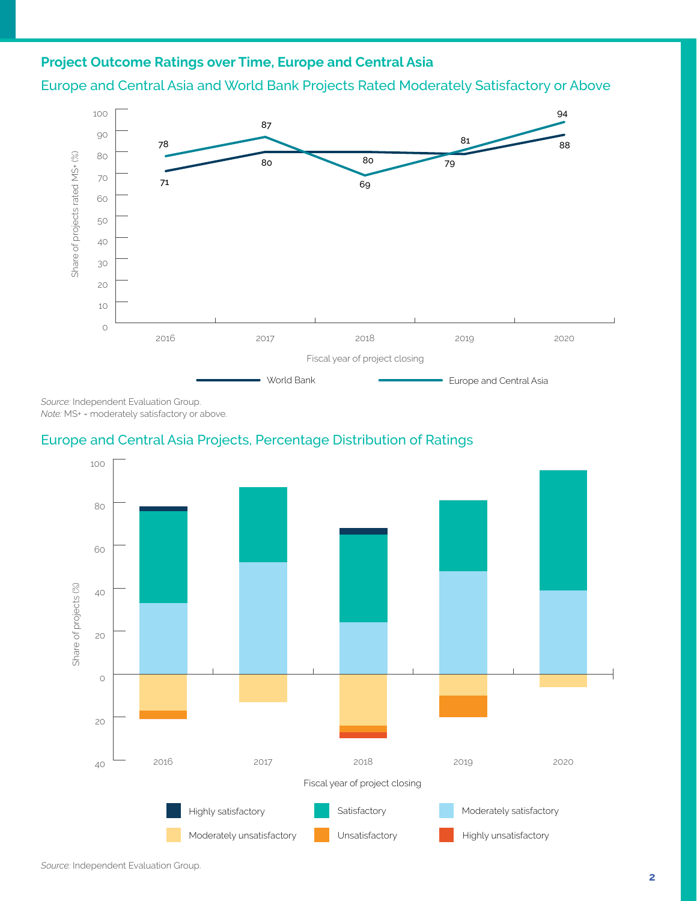## **Project Outcome Ratings over Time, Europe and Central Asia**





*Source:* Independent Evaluation Group. *Note:* MS+ = moderately satisfactory or above.

### Europe and Central Asia Projects, Percentage Distribution of Ratings